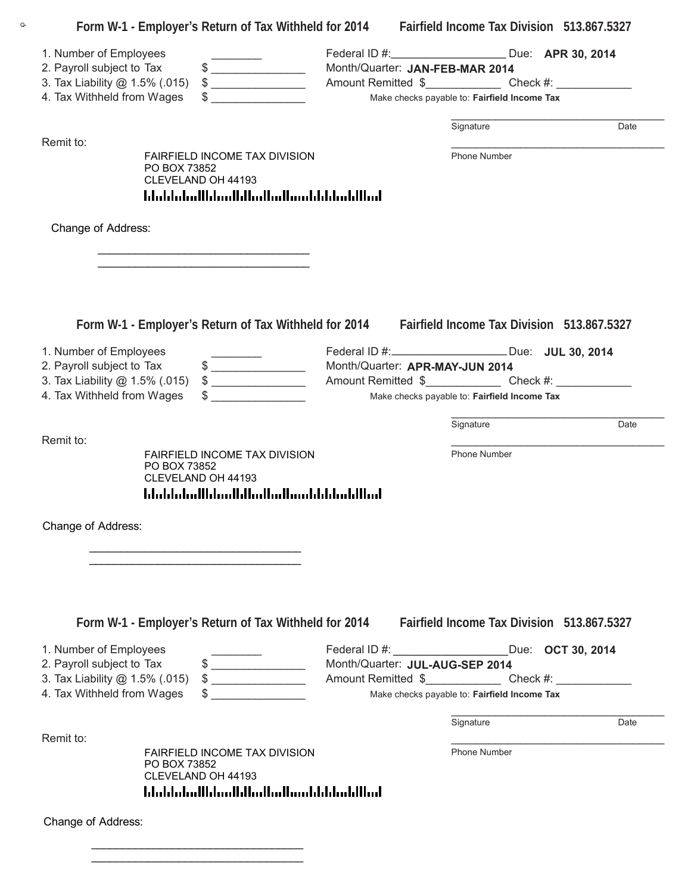| Form W-1 - Employer's Return of Tax Withheld for 2014 Fairfield Income Tax Division 513.867.5327                                                                                                                                                                                                                                                                                                                                                                                    |                                              |                                                                                   |      |  |
|-------------------------------------------------------------------------------------------------------------------------------------------------------------------------------------------------------------------------------------------------------------------------------------------------------------------------------------------------------------------------------------------------------------------------------------------------------------------------------------|----------------------------------------------|-----------------------------------------------------------------------------------|------|--|
| 1. Number of Employees                                                                                                                                                                                                                                                                                                                                                                                                                                                              |                                              | Federal ID #: ________________________ Due: APR 30, 2014                          |      |  |
| $\frac{1}{2}$<br>2. Payroll subject to Tax                                                                                                                                                                                                                                                                                                                                                                                                                                          | Month/Quarter: JAN-FEB-MAR 2014              |                                                                                   |      |  |
| 3. Tax Liability @ 1.5% (.015)<br>$\frac{1}{2}$                                                                                                                                                                                                                                                                                                                                                                                                                                     |                                              | Amount Remitted \$ Check #:                                                       |      |  |
| 4. Tax Withheld from Wages<br><u> 1986 - Jan Salaman III, masa ka</u>                                                                                                                                                                                                                                                                                                                                                                                                               | Make checks payable to: Fairfield Income Tax |                                                                                   |      |  |
| Remit to:                                                                                                                                                                                                                                                                                                                                                                                                                                                                           |                                              | Signature                                                                         | Date |  |
| FAIRFIELD INCOME TAX DIVISION<br>PO BOX 73852                                                                                                                                                                                                                                                                                                                                                                                                                                       |                                              | Phone Number                                                                      |      |  |
| CLEVELAND OH 44193                                                                                                                                                                                                                                                                                                                                                                                                                                                                  |                                              |                                                                                   |      |  |
|                                                                                                                                                                                                                                                                                                                                                                                                                                                                                     |                                              |                                                                                   |      |  |
| Change of Address:                                                                                                                                                                                                                                                                                                                                                                                                                                                                  |                                              |                                                                                   |      |  |
|                                                                                                                                                                                                                                                                                                                                                                                                                                                                                     |                                              |                                                                                   |      |  |
|                                                                                                                                                                                                                                                                                                                                                                                                                                                                                     |                                              |                                                                                   |      |  |
| Form W-1 - Employer's Return of Tax Withheld for 2014 Fairfield Income Tax Division 513.867.5327                                                                                                                                                                                                                                                                                                                                                                                    |                                              |                                                                                   |      |  |
| 1. Number of Employees                                                                                                                                                                                                                                                                                                                                                                                                                                                              |                                              | Federal ID #: _______________________ Due: JUL 30, 2014                           |      |  |
| $\qquad \qquad \bullet$<br>2. Payroll subject to Tax                                                                                                                                                                                                                                                                                                                                                                                                                                |                                              | Month/Quarter: APR-MAY-JUN 2014                                                   |      |  |
| $\qquad \qquad \$$<br>3. Tax Liability @ 1.5% (.015)                                                                                                                                                                                                                                                                                                                                                                                                                                |                                              | Amount Remitted \$_______________________Check #: _______________________________ |      |  |
| 4. Tax Withheld from Wages                                                                                                                                                                                                                                                                                                                                                                                                                                                          | Make checks payable to: Fairfield Income Tax |                                                                                   |      |  |
|                                                                                                                                                                                                                                                                                                                                                                                                                                                                                     |                                              | Signature                                                                         | Date |  |
| Remit to:                                                                                                                                                                                                                                                                                                                                                                                                                                                                           |                                              |                                                                                   |      |  |
| <b>FAIRFIELD INCOME TAX DIVISION</b><br>PO BOX 73852                                                                                                                                                                                                                                                                                                                                                                                                                                |                                              | Phone Number                                                                      |      |  |
| CLEVELAND OH 44193<br>المالليلميانا بالسوالية الماليان المتامات المامليان                                                                                                                                                                                                                                                                                                                                                                                                           |                                              |                                                                                   |      |  |
|                                                                                                                                                                                                                                                                                                                                                                                                                                                                                     |                                              |                                                                                   |      |  |
| Change of Address:                                                                                                                                                                                                                                                                                                                                                                                                                                                                  |                                              |                                                                                   |      |  |
|                                                                                                                                                                                                                                                                                                                                                                                                                                                                                     |                                              |                                                                                   |      |  |
|                                                                                                                                                                                                                                                                                                                                                                                                                                                                                     |                                              |                                                                                   |      |  |
|                                                                                                                                                                                                                                                                                                                                                                                                                                                                                     |                                              |                                                                                   |      |  |
| Form W-1 - Employer's Return of Tax Withheld for 2014                                                                                                                                                                                                                                                                                                                                                                                                                               |                                              | Fairfield Income Tax Division 513.867.5327                                        |      |  |
| 1. Number of Employees                                                                                                                                                                                                                                                                                                                                                                                                                                                              |                                              | Federal ID #: Due: OCT 30, 2014                                                   |      |  |
| $\qquad \qquad \  \, {\displaystyle \$} \qquad \qquad \qquad$<br>2. Payroll subject to Tax                                                                                                                                                                                                                                                                                                                                                                                          |                                              | Month/Quarter: JUL-AUG-SEP 2014                                                   |      |  |
| $\begin{array}{c} \updownarrow \\ \downarrow \end{array}$<br>3. Tax Liability @ 1.5% (.015)                                                                                                                                                                                                                                                                                                                                                                                         |                                              | Amount Remitted \$________________________Check #: ______________________________ |      |  |
| $\begin{tabular}{ccccc} \multicolumn{2}{c }{\textbf{1} & \multicolumn{2}{c }{\textbf{2} & \multicolumn{2}{c }{\textbf{3} & \multicolumn{2}{c }{\textbf{4} & \multicolumn{2}{c }{\textbf{5} & \multicolumn{2}{c }{\textbf{6} & \multicolumn{2}{c }{\textbf{6} & \multicolumn{2}{c }{\textbf{6} & \multicolumn{2}{c }{\textbf{6} & \multicolumn{2}{c }{\textbf{6} & \multicolumn{2}{c }{\textbf{6} & \multicolumn{2}{c }{\textbf{6} & \multicolumn{2}{$<br>4. Tax Withheld from Wages |                                              | Make checks payable to: Fairfield Income Tax                                      |      |  |
|                                                                                                                                                                                                                                                                                                                                                                                                                                                                                     |                                              | Signature                                                                         | Date |  |
| Remit to:<br><b>FAIRFIELD INCOME TAX DIVISION</b>                                                                                                                                                                                                                                                                                                                                                                                                                                   |                                              | Phone Number                                                                      |      |  |
| PO BOX 73852                                                                                                                                                                                                                                                                                                                                                                                                                                                                        |                                              |                                                                                   |      |  |
| CLEVELAND OH 44193<br><u>ldaldaladlldaalldladladlaaddddaddllad</u>                                                                                                                                                                                                                                                                                                                                                                                                                  |                                              |                                                                                   |      |  |
|                                                                                                                                                                                                                                                                                                                                                                                                                                                                                     |                                              |                                                                                   |      |  |
| Change of Address:                                                                                                                                                                                                                                                                                                                                                                                                                                                                  |                                              |                                                                                   |      |  |
|                                                                                                                                                                                                                                                                                                                                                                                                                                                                                     |                                              |                                                                                   |      |  |

\_\_\_\_\_\_\_\_\_\_\_\_\_\_\_\_\_\_\_\_\_\_\_\_\_\_\_\_\_\_\_\_\_\_

Q-